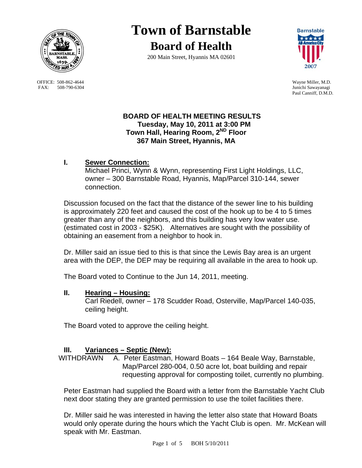

OFFICE: 508-862-4644 Wayne Miller, M.D.<br>
FAX: 508-790-6304 Junichi Sawayanagi FAX: 508-790-6304

# **Town of Barnstable Board of Health**

200 Main Street, Hyannis MA 02601



Paul Canniff, D.M.D.

#### **BOARD OF HEALTH MEETING RESULTS Tuesday, May 10, 2011 at 3:00 PM Town Hall, Hearing Room, 2ND Floor 367 Main Street, Hyannis, MA**

### **I. Sewer Connection:**

 Michael Princi, Wynn & Wynn, representing First Light Holdings, LLC, owner – 300 Barnstable Road, Hyannis, Map/Parcel 310-144, sewer connection.

Discussion focused on the fact that the distance of the sewer line to his building is approximately 220 feet and caused the cost of the hook up to be 4 to 5 times greater than any of the neighbors, and this building has very low water use. (estimated cost in 2003 - \$25K). Alternatives are sought with the possibility of obtaining an easement from a neighbor to hook in.

Dr. Miller said an issue tied to this is that since the Lewis Bay area is an urgent area with the DEP, the DEP may be requiring all available in the area to hook up.

The Board voted to Continue to the Jun 14, 2011, meeting.

### **II. Hearing – Housing:**

 Carl Riedell, owner – 178 Scudder Road, Osterville, Map/Parcel 140-035, ceiling height.

The Board voted to approve the ceiling height.

## **III. Variances – Septic (New):**

WITHDRAWN A. Peter Eastman, Howard Boats - 164 Beale Way, Barnstable, Map/Parcel 280-004, 0.50 acre lot, boat building and repair requesting approval for composting toilet, currently no plumbing.

Peter Eastman had supplied the Board with a letter from the Barnstable Yacht Club next door stating they are granted permission to use the toilet facilities there.

Dr. Miller said he was interested in having the letter also state that Howard Boats would only operate during the hours which the Yacht Club is open. Mr. McKean will speak with Mr. Eastman.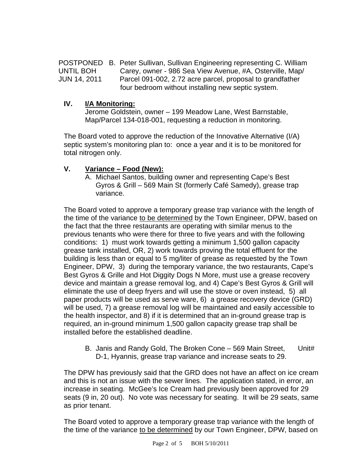POSTPONED B. Peter Sullivan, Sullivan Engineering representing C. William UNTIL BOH Carey, owner - 986 Sea View Avenue, #A, Osterville, Map/ JUN 14, 2011 Parcel 091-002, 2.72 acre parcel, proposal to grandfather four bedroom without installing new septic system.

#### **IV. I/A Monitoring:**

 Jerome Goldstein, owner – 199 Meadow Lane, West Barnstable, Map/Parcel 134-018-001, requesting a reduction in monitoring.

The Board voted to approve the reduction of the Innovative Alternative (I/A) septic system's monitoring plan to: once a year and it is to be monitored for total nitrogen only.

#### **V. Variance – Food (New):**

A. Michael Santos, building owner and representing Cape's Best Gyros & Grill – 569 Main St (formerly Café Samedy), grease trap variance.

The Board voted to approve a temporary grease trap variance with the length of the time of the variance to be determined by the Town Engineer, DPW, based on the fact that the three restaurants are operating with similar menus to the previous tenants who were there for three to five years and with the following conditions: 1) must work towards getting a minimum 1,500 gallon capacity grease tank installed, OR, 2) work towards proving the total effluent for the building is less than or equal to 5 mg/liter of grease as requested by the Town Engineer, DPW, 3) during the temporary variance, the two restaurants, Cape's Best Gyros & Grille and Hot Diggity Dogs N More, must use a grease recovery device and maintain a grease removal log, and 4) Cape's Best Gyros & Grill will eliminate the use of deep fryers and will use the stove or oven instead, 5) all paper products will be used as serve ware, 6) a grease recovery device (GRD) will be used, 7) a grease removal log will be maintained and easily accessible to the health inspector, and 8) if it is determined that an in-ground grease trap is required, an in-ground minimum 1,500 gallon capacity grease trap shall be installed before the established deadline.

B. Janis and Randy Gold, The Broken Cone – 569 Main Street, Unit# D-1, Hyannis, grease trap variance and increase seats to 29.

The DPW has previously said that the GRD does not have an affect on ice cream and this is not an issue with the sewer lines. The application stated, in error, an increase in seating. McGee's Ice Cream had previously been approved for 29 seats (9 in, 20 out). No vote was necessary for seating. It will be 29 seats, same as prior tenant.

The Board voted to approve a temporary grease trap variance with the length of the time of the variance to be determined by our Town Engineer, DPW, based on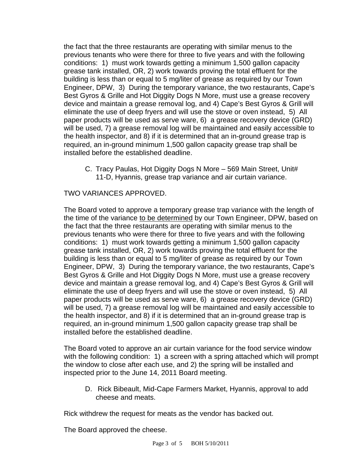the fact that the three restaurants are operating with similar menus to the previous tenants who were there for three to five years and with the following conditions: 1) must work towards getting a minimum 1,500 gallon capacity grease tank installed, OR, 2) work towards proving the total effluent for the building is less than or equal to 5 mg/liter of grease as required by our Town Engineer, DPW, 3) During the temporary variance, the two restaurants, Cape's Best Gyros & Grille and Hot Diggity Dogs N More, must use a grease recovery device and maintain a grease removal log, and 4) Cape's Best Gyros & Grill will eliminate the use of deep fryers and will use the stove or oven instead, 5) All paper products will be used as serve ware, 6) a grease recovery device (GRD) will be used, 7) a grease removal log will be maintained and easily accessible to the health inspector, and 8) if it is determined that an in-ground grease trap is required, an in-ground minimum 1,500 gallon capacity grease trap shall be installed before the established deadline.

C. Tracy Paulas, Hot Diggity Dogs N More – 569 Main Street, Unit# 11-D, Hyannis, grease trap variance and air curtain variance.

### TWO VARIANCES APPROVED.

The Board voted to approve a temporary grease trap variance with the length of the time of the variance to be determined by our Town Engineer, DPW, based on the fact that the three restaurants are operating with similar menus to the previous tenants who were there for three to five years and with the following conditions: 1) must work towards getting a minimum 1,500 gallon capacity grease tank installed, OR, 2) work towards proving the total effluent for the building is less than or equal to 5 mg/liter of grease as required by our Town Engineer, DPW, 3) During the temporary variance, the two restaurants, Cape's Best Gyros & Grille and Hot Diggity Dogs N More, must use a grease recovery device and maintain a grease removal log, and 4) Cape's Best Gyros & Grill will eliminate the use of deep fryers and will use the stove or oven instead, 5) All paper products will be used as serve ware, 6) a grease recovery device (GRD) will be used, 7) a grease removal log will be maintained and easily accessible to the health inspector, and 8) if it is determined that an in-ground grease trap is required, an in-ground minimum 1,500 gallon capacity grease trap shall be installed before the established deadline.

The Board voted to approve an air curtain variance for the food service window with the following condition: 1) a screen with a spring attached which will prompt the window to close after each use, and 2) the spring will be installed and inspected prior to the June 14, 2011 Board meeting.

D. Rick Bibeault, Mid-Cape Farmers Market, Hyannis, approval to add cheese and meats.

Rick withdrew the request for meats as the vendor has backed out.

The Board approved the cheese.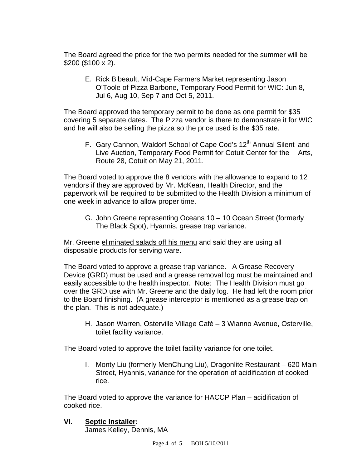The Board agreed the price for the two permits needed for the summer will be \$200 (\$100 x 2).

E. Rick Bibeault, Mid-Cape Farmers Market representing Jason O'Toole of Pizza Barbone, Temporary Food Permit for WIC: Jun 8, Jul 6, Aug 10, Sep 7 and Oct 5, 2011.

The Board approved the temporary permit to be done as one permit for \$35 covering 5 separate dates. The Pizza vendor is there to demonstrate it for WIC and he will also be selling the pizza so the price used is the \$35 rate.

F. Gary Cannon, Waldorf School of Cape Cod's 12<sup>th</sup> Annual Silent and Live Auction, Temporary Food Permit for Cotuit Center for the Arts, Route 28, Cotuit on May 21, 2011.

The Board voted to approve the 8 vendors with the allowance to expand to 12 vendors if they are approved by Mr. McKean, Health Director, and the paperwork will be required to be submitted to the Health Division a minimum of one week in advance to allow proper time.

G. John Greene representing Oceans 10 – 10 Ocean Street (formerly The Black Spot), Hyannis, grease trap variance.

Mr. Greene eliminated salads off his menu and said they are using all disposable products for serving ware.

The Board voted to approve a grease trap variance. A Grease Recovery Device (GRD) must be used and a grease removal log must be maintained and easily accessible to the health inspector. Note: The Health Division must go over the GRD use with Mr. Greene and the daily log. He had left the room prior to the Board finishing. (A grease interceptor is mentioned as a grease trap on the plan. This is not adequate.)

H. Jason Warren, Osterville Village Café – 3 Wianno Avenue, Osterville, toilet facility variance.

The Board voted to approve the toilet facility variance for one toilet.

I. Monty Liu (formerly MenChung Liu), Dragonlite Restaurant – 620 Main Street, Hyannis, variance for the operation of acidification of cooked rice.

The Board voted to approve the variance for HACCP Plan – acidification of cooked rice.

### **VI. Septic Installer:**

James Kelley, Dennis, MA